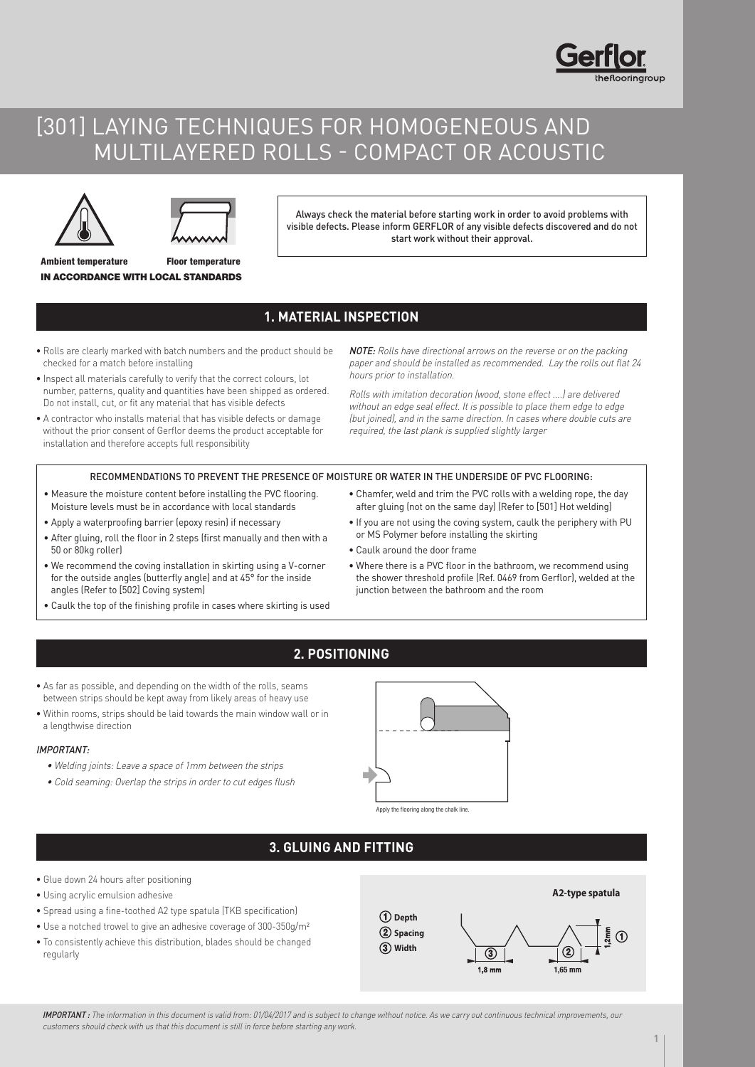# [301] LAYING TECHNIQUES FOR HOMOGENEOUS AND MULTILAYERED ROLLS - COMPACT OR ACOUSTIC



Ambient temperature



Floor temperature

Always check the material before starting work in order to avoid problems with visible defects. Please inform GERFLOR of any visible defects discovered and do not start work without their approval.

## **1. MATERIAL INSPECTION**

• Rolls are clearly marked with batch numbers and the product should be checked for a match before installing

IN ACCORDANCE WITH LOCAL STANDARDS

- Inspect all materials carefully to verify that the correct colours, lot number, patterns, quality and quantities have been shipped as ordered. Do not install, cut, or fit any material that has visible defects
- A contractor who installs material that has visible defects or damage without the prior consent of Gerflor deems the product acceptable for installation and therefore accepts full responsibility

NOTE: Rolls have directional arrows on the reverse or on the packing paper and should be installed as recommended. Lay the rolls out flat 24 hours prior to installation.

Rolls with imitation decoration (wood, stone effect ....) are delivered without an edge seal effect. It is possible to place them edge to edge (but joined), and in the same direction. In cases where double cuts are required, the last plank is supplied slightly larger

### RECOMMENDATIONS TO PREVENT THE PRESENCE OF MOISTURE OR WATER IN THE UNDERSIDE OF PVC FLOORING:

- Measure the moisture content before installing the PVC flooring. Moisture levels must be in accordance with local standards
- Apply a waterproofing barrier (epoxy resin) if necessary
- After gluing, roll the floor in 2 steps (first manually and then with a 50 or 80kg roller)
- We recommend the coving installation in skirting using a V-corner for the outside angles (butterfly angle) and at 45° for the inside angles (Refer to [502] Coving system)
- Caulk the top of the finishing profile in cases where skirting is used
- Chamfer, weld and trim the PVC rolls with a welding rope, the day after gluing (not on the same day) (Refer to [501] Hot welding)
- If you are not using the coving system, caulk the periphery with PU or MS Polymer before installing the skirting
- Caulk around the door frame
- Where there is a PVC floor in the bathroom, we recommend using the shower threshold profile (Ref. 0469 from Gerflor), welded at the junction between the bathroom and the room

## **2. POSITIONING**

- As far as possible, and depending on the width of the rolls, seams between strips should be kept away from likely areas of heavy use
- Within rooms, strips should be laid towards the main window wall or in a lengthwise direction

#### IMPORTANT:

- Welding joints: Leave a space of 1mm between the strips
- Cold seaming: Overlap the strips in order to cut edges flush



Apply the flooring along the chalk line.

## **3. GLUING AND FITTING**

- Glue down 24 hours after positioning
- Using acrylic emulsion adhesive
- Spread using a fine-toothed A2 type spatula (TKB specification)
- Use a notched trowel to give an adhesive coverage of 300-350g/m²
- To consistently achieve this distribution, blades should be changed regularly



IMPORTANT: The information in this document is valid from: 01/04/2017 and is subject to change without notice. As we carry out continuous technical improvements, our customers should check with us that this document is still in force before starting any work.